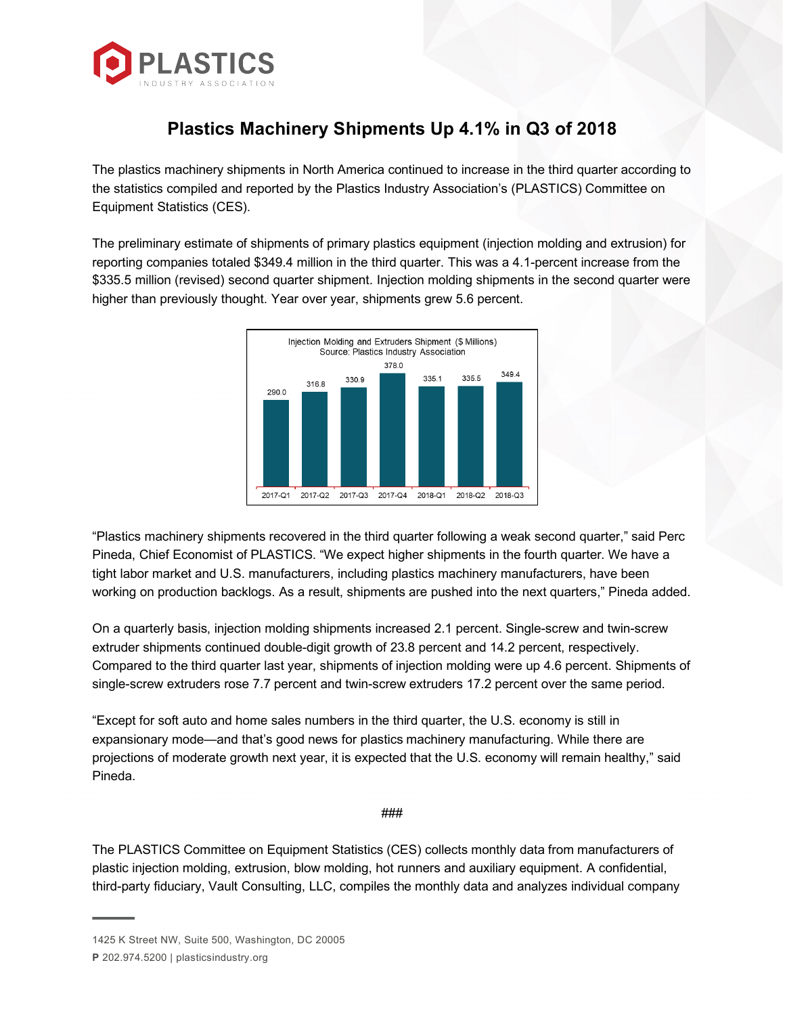

## **Plastics Machinery Shipments Up 4.1% in Q3 of 2018**

The plastics machinery shipments in North America continued to increase in the third quarter according to the statistics compiled and reported by the Plastics Industry Association's (PLASTICS) Committee on Equipment Statistics (CES).

The preliminary estimate of shipments of primary plastics equipment (injection molding and extrusion) for reporting companies totaled \$349.4 million in the third quarter. This was a 4.1-percent increase from the \$335.5 million (revised) second quarter shipment. Injection molding shipments in the second quarter were higher than previously thought. Year over year, shipments grew 5.6 percent.



"Plastics machinery shipments recovered in the third quarter following a weak second quarter," said Perc Pineda, Chief Economist of PLASTICS. "We expect higher shipments in the fourth quarter. We have a tight labor market and U.S. manufacturers, including plastics machinery manufacturers, have been working on production backlogs. As a result, shipments are pushed into the next quarters," Pineda added.

On a quarterly basis, injection molding shipments increased 2.1 percent. Single-screw and twin-screw extruder shipments continued double-digit growth of 23.8 percent and 14.2 percent, respectively. Compared to the third quarter last year, shipments of injection molding were up 4.6 percent. Shipments of single-screw extruders rose 7.7 percent and twin-screw extruders 17.2 percent over the same period.

"Except for soft auto and home sales numbers in the third quarter, the U.S. economy is still in expansionary mode—and that's good news for plastics machinery manufacturing. While there are projections of moderate growth next year, it is expected that the U.S. economy will remain healthy," said Pineda.

###

The PLASTICS Committee on Equipment Statistics (CES) collects monthly data from manufacturers of plastic injection molding, extrusion, blow molding, hot runners and auxiliary equipment. A confidential, third-party fiduciary, Vault Consulting, LLC, compiles the monthly data and analyzes individual company